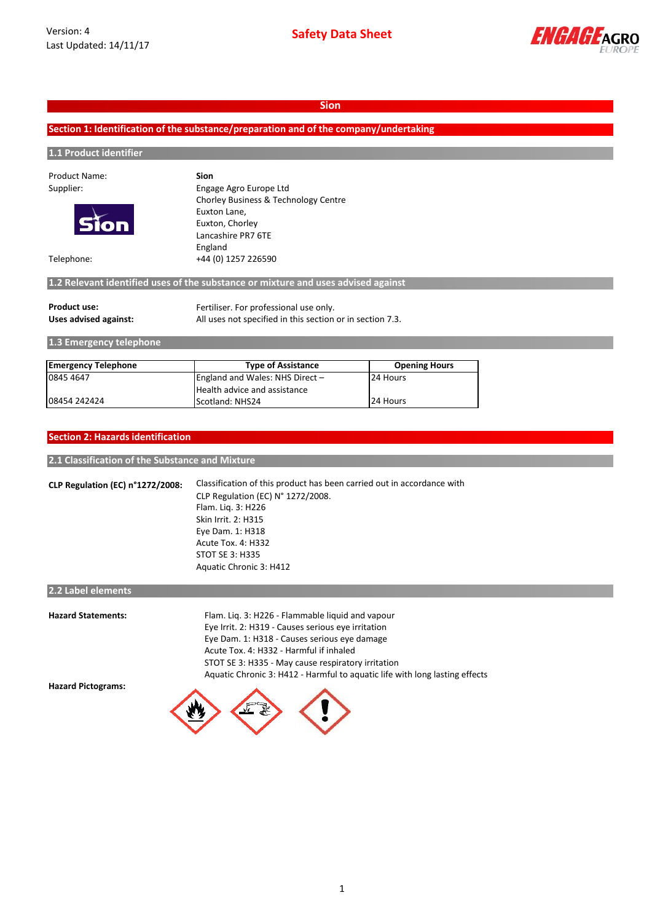

# **Section 1: Identification of the substance/preparation and of the company/undertaking**

# **1.1 Product identifier**

| Product Name:              | <b>Sion</b>                                                                       |                                      |  |  |
|----------------------------|-----------------------------------------------------------------------------------|--------------------------------------|--|--|
| Supplier:                  | Engage Agro Europe Ltd                                                            |                                      |  |  |
| <b>Sion</b>                |                                                                                   | Chorley Business & Technology Centre |  |  |
|                            | Euxton Lane,                                                                      |                                      |  |  |
|                            | Euxton, Chorley                                                                   |                                      |  |  |
|                            | Lancashire PR7 6TE                                                                |                                      |  |  |
|                            | England                                                                           |                                      |  |  |
| Telephone:                 | +44 (0) 1257 226590                                                               |                                      |  |  |
|                            |                                                                                   |                                      |  |  |
|                            | 1.2 Relevant identified uses of the substance or mixture and uses advised against |                                      |  |  |
| <b>Product use:</b>        | Fertiliser. For professional use only.                                            |                                      |  |  |
| Uses advised against:      | All uses not specified in this section or in section 7.3.                         |                                      |  |  |
| 1.3 Emergency telephone    |                                                                                   |                                      |  |  |
|                            |                                                                                   |                                      |  |  |
| <b>Emergency Telephone</b> | <b>Type of Assistance</b>                                                         | <b>Opening Hours</b>                 |  |  |
| 0845 4647                  | England and Wales: NHS Direct -                                                   | 24 Hours                             |  |  |

| <b>Section 2: Hazards identification</b> |
|------------------------------------------|
|------------------------------------------|

### **2.1 Classification of the Substance and Mixture**

**CLP Regulation (EC) n°1272/2008:** Classification of this product has been carried out in accordance with CLP Regulation (EC) N° 1272/2008. Flam. Liq. 3: H226 Skin Irrit. 2: H315 Eye Dam. 1: H318 Acute Tox. 4: H332 STOT SE 3: H335 Aquatic Chronic 3: H412

Health advice and assistance

**08454 242424** Scotland: NHS24 24 Hours

# **2.2 Label elements**

| <b>Hazard Statements:</b> | Flam. Lig. 3: H226 - Flammable liguid and vapour                            |
|---------------------------|-----------------------------------------------------------------------------|
|                           | Eye Irrit. 2: H319 - Causes serious eye irritation                          |
|                           | Eye Dam. 1: H318 - Causes serious eye damage                                |
|                           | Acute Tox. 4: H332 - Harmful if inhaled                                     |
|                           | STOT SE 3: H335 - May cause respiratory irritation                          |
|                           | Aquatic Chronic 3: H412 - Harmful to aquatic life with long lasting effects |
| <b>Hazard Pictograms:</b> |                                                                             |
|                           |                                                                             |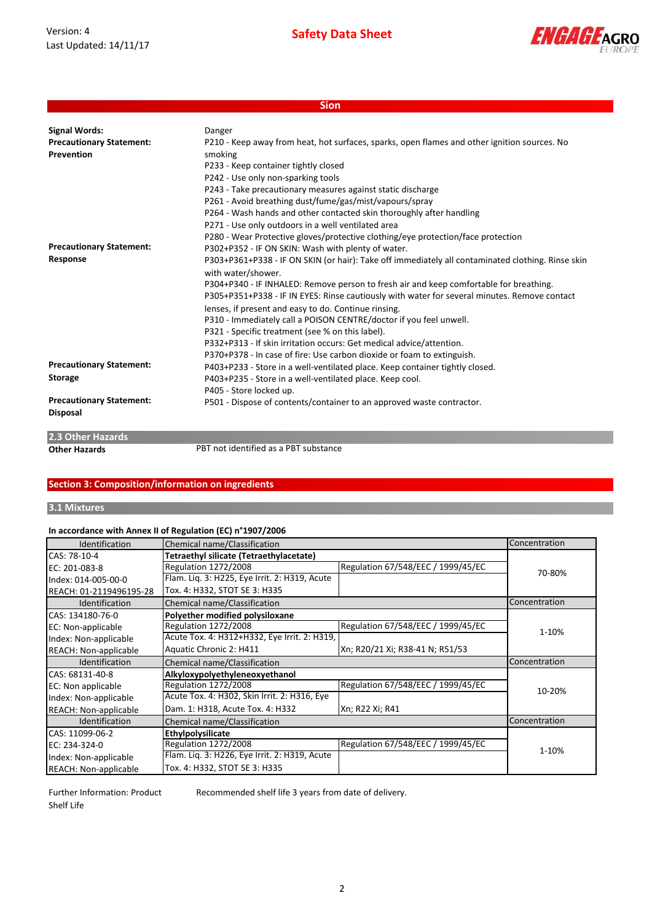Version: 4 Last Updated: 14/11/17



|                                 | <b>Sion</b>                                                                                       |
|---------------------------------|---------------------------------------------------------------------------------------------------|
|                                 |                                                                                                   |
| <b>Signal Words:</b>            | Danger                                                                                            |
| <b>Precautionary Statement:</b> | P210 - Keep away from heat, hot surfaces, sparks, open flames and other ignition sources. No      |
| <b>Prevention</b>               | smoking                                                                                           |
|                                 | P233 - Keep container tightly closed                                                              |
|                                 | P242 - Use only non-sparking tools                                                                |
|                                 | P243 - Take precautionary measures against static discharge                                       |
|                                 | P261 - Avoid breathing dust/fume/gas/mist/vapours/spray                                           |
|                                 | P264 - Wash hands and other contacted skin thoroughly after handling                              |
|                                 | P271 - Use only outdoors in a well ventilated area                                                |
|                                 | P280 - Wear Protective gloves/protective clothing/eye protection/face protection                  |
| <b>Precautionary Statement:</b> | P302+P352 - IF ON SKIN: Wash with plenty of water.                                                |
| Response                        | P303+P361+P338 - IF ON SKIN (or hair): Take off immediately all contaminated clothing. Rinse skin |
|                                 | with water/shower.                                                                                |
|                                 | P304+P340 - IF INHALED: Remove person to fresh air and keep comfortable for breathing.            |
|                                 | P305+P351+P338 - IF IN EYES: Rinse cautiously with water for several minutes. Remove contact      |
|                                 | lenses, if present and easy to do. Continue rinsing.                                              |
|                                 | P310 - Immediately call a POISON CENTRE/doctor if you feel unwell.                                |
|                                 | P321 - Specific treatment (see % on this label).                                                  |
|                                 | P332+P313 - If skin irritation occurs: Get medical advice/attention.                              |
|                                 | P370+P378 - In case of fire: Use carbon dioxide or foam to extinguish.                            |
| <b>Precautionary Statement:</b> | P403+P233 - Store in a well-ventilated place. Keep container tightly closed.                      |
| <b>Storage</b>                  | P403+P235 - Store in a well-ventilated place. Keep cool.                                          |
|                                 | P405 - Store locked up.                                                                           |
| <b>Precautionary Statement:</b> | P501 - Dispose of contents/container to an approved waste contractor.                             |
| <b>Disposal</b>                 |                                                                                                   |
| 2.3 Other Hazards               |                                                                                                   |

**Other Hazards PBT** not identified as a PBT substance

### **Section 3: Composition/information on ingredients**

# **3.1 Mixtures**

# **In accordance with Annex II of Regulation (EC) n°1907/2006**

| <b>Identification</b>        | Chemical name/Classification                  |                                    | Concentration |
|------------------------------|-----------------------------------------------|------------------------------------|---------------|
| CAS: 78-10-4                 | Tetraethyl silicate (Tetraethylacetate)       |                                    |               |
| EC: 201-083-8                | <b>Regulation 1272/2008</b>                   | Regulation 67/548/EEC / 1999/45/EC | 70-80%        |
| Index: 014-005-00-0          | Flam. Liq. 3: H225, Eye Irrit. 2: H319, Acute |                                    |               |
| REACH: 01-2119496195-28      | Tox. 4: H332, STOT SE 3: H335                 |                                    |               |
| Identification               | Chemical name/Classification                  |                                    | Concentration |
| CAS: 134180-76-0             | Polyether modified polysiloxane               |                                    |               |
| EC: Non-applicable           | <b>Regulation 1272/2008</b>                   | Regulation 67/548/EEC / 1999/45/EC | 1-10%         |
| Index: Non-applicable        | Acute Tox. 4: H312+H332, Eye Irrit. 2: H319,  |                                    |               |
| <b>REACH: Non-applicable</b> | Aquatic Chronic 2: H411                       | Xn; R20/21 Xi; R38-41 N; R51/53    |               |
| <b>Identification</b>        | Chemical name/Classification                  |                                    | Concentration |
| CAS: 68131-40-8              | Alkyloxypolyethyleneoxyethanol                |                                    |               |
| EC: Non applicable           | <b>Regulation 1272/2008</b>                   | Regulation 67/548/EEC / 1999/45/EC | 10-20%        |
| Index: Non-applicable        | Acute Tox. 4: H302, Skin Irrit. 2: H316, Eye  |                                    |               |
| <b>REACH: Non-applicable</b> | Dam. 1: H318, Acute Tox. 4: H332              | Xn; R22 Xi; R41                    |               |
| Identification               | Chemical name/Classification                  |                                    | Concentration |
| CAS: 11099-06-2              | Ethylpolysilicate                             |                                    |               |
| EC: 234-324-0                | <b>Regulation 1272/2008</b>                   | Regulation 67/548/EEC / 1999/45/EC | 1-10%         |
| Index: Non-applicable        | Flam. Liq. 3: H226, Eye Irrit. 2: H319, Acute |                                    |               |
| <b>REACH: Non-applicable</b> | Tox. 4: H332, STOT SE 3: H335                 |                                    |               |

Further Information: Product Shelf Life

Recommended shelf life 3 years from date of delivery.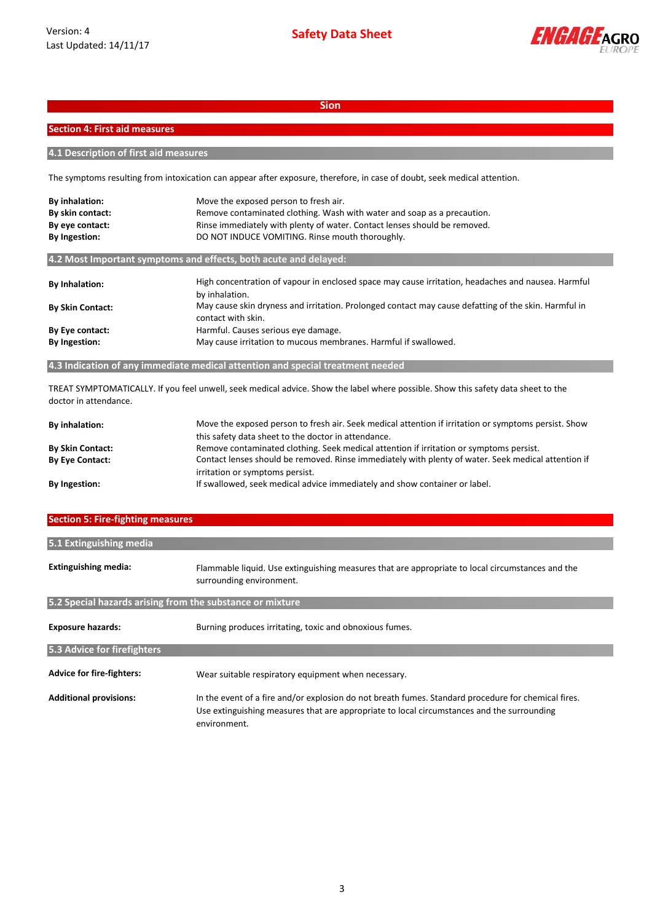

### **Section 4: First aid measures**

**4.1 Description of first aid measures**

The symptoms resulting from intoxication can appear after exposure, therefore, in case of doubt, seek medical attention.

| By inhalation:          | Move the exposed person to fresh air.                                                                                      |
|-------------------------|----------------------------------------------------------------------------------------------------------------------------|
| By skin contact:        | Remove contaminated clothing. Wash with water and soap as a precaution.                                                    |
| By eye contact:         | Rinse immediately with plenty of water. Contact lenses should be removed.                                                  |
| By Ingestion:           | DO NOT INDUCE VOMITING. Rinse mouth thoroughly.                                                                            |
|                         | 4.2 Most Important symptoms and effects, both acute and delayed:                                                           |
| <b>By Inhalation:</b>   | High concentration of vapour in enclosed space may cause irritation, headaches and nausea. Harmful<br>by inhalation.       |
| <b>By Skin Contact:</b> | May cause skin dryness and irritation. Prolonged contact may cause defatting of the skin. Harmful in<br>contact with skin. |
| By Eye contact:         | Harmful. Causes serious eye damage.                                                                                        |
| By Ingestion:           | May cause irritation to mucous membranes. Harmful if swallowed.                                                            |
|                         |                                                                                                                            |

**4.3 Indication of any immediate medical attention and special treatment needed**

TREAT SYMPTOMATICALLY. If you feel unwell, seek medical advice. Show the label where possible. Show this safety data sheet to the doctor in attendance.

| <b>By inhalation:</b>   | Move the exposed person to fresh air. Seek medical attention if irritation or symptoms persist. Show<br>this safety data sheet to the doctor in attendance. |
|-------------------------|-------------------------------------------------------------------------------------------------------------------------------------------------------------|
|                         |                                                                                                                                                             |
| <b>By Skin Contact:</b> | Remove contaminated clothing. Seek medical attention if irritation or symptoms persist.                                                                     |
| <b>By Eye Contact:</b>  | Contact lenses should be removed. Rinse immediately with plenty of water. Seek medical attention if                                                         |
|                         | irritation or symptoms persist.                                                                                                                             |
| <b>By Ingestion:</b>    | If swallowed, seek medical advice immediately and show container or label.                                                                                  |

### **Section 5: Fire-fighting measures**

| 5.1 Extinguishing media                                   |                                                                                                                                                                                                                   |
|-----------------------------------------------------------|-------------------------------------------------------------------------------------------------------------------------------------------------------------------------------------------------------------------|
| <b>Extinguishing media:</b>                               | Flammable liquid. Use extinguishing measures that are appropriate to local circumstances and the<br>surrounding environment.                                                                                      |
| 5.2 Special hazards arising from the substance or mixture |                                                                                                                                                                                                                   |
| <b>Exposure hazards:</b>                                  | Burning produces irritating, toxic and obnoxious fumes.                                                                                                                                                           |
| 5.3 Advice for firefighters                               |                                                                                                                                                                                                                   |
| <b>Advice for fire-fighters:</b>                          | Wear suitable respiratory equipment when necessary.                                                                                                                                                               |
| <b>Additional provisions:</b>                             | In the event of a fire and/or explosion do not breath fumes. Standard procedure for chemical fires.<br>Use extinguishing measures that are appropriate to local circumstances and the surrounding<br>environment. |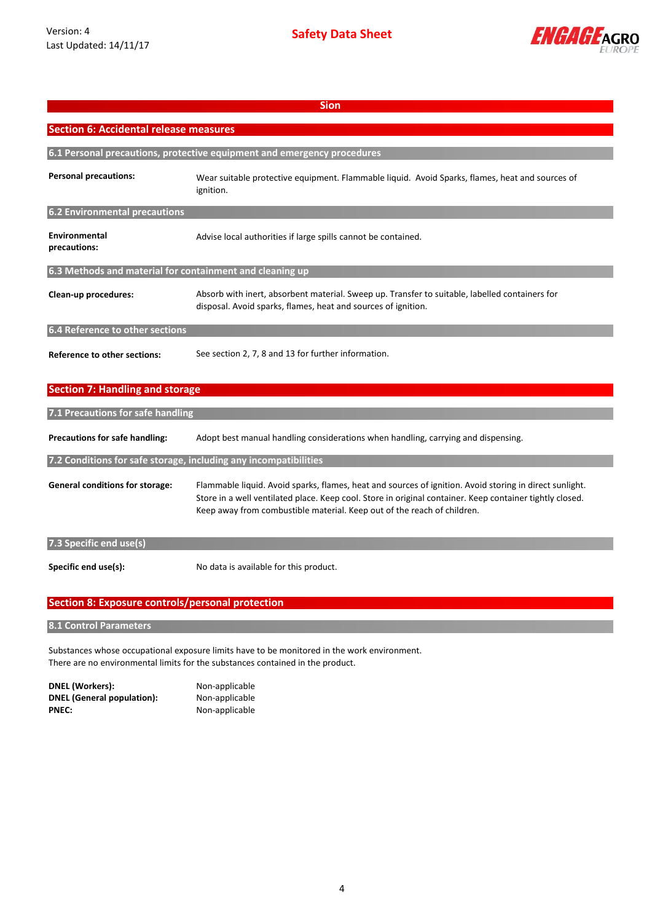

| <b>Sion</b>                                                      |                                                                                                                                                                                                                                                                                                |  |
|------------------------------------------------------------------|------------------------------------------------------------------------------------------------------------------------------------------------------------------------------------------------------------------------------------------------------------------------------------------------|--|
| <b>Section 6: Accidental release measures</b>                    |                                                                                                                                                                                                                                                                                                |  |
|                                                                  | 6.1 Personal precautions, protective equipment and emergency procedures                                                                                                                                                                                                                        |  |
| <b>Personal precautions:</b>                                     | Wear suitable protective equipment. Flammable liquid. Avoid Sparks, flames, heat and sources of<br>ignition.                                                                                                                                                                                   |  |
| <b>6.2 Environmental precautions</b>                             |                                                                                                                                                                                                                                                                                                |  |
| Environmental<br>precautions:                                    | Advise local authorities if large spills cannot be contained.                                                                                                                                                                                                                                  |  |
| 6.3 Methods and material for containment and cleaning up         |                                                                                                                                                                                                                                                                                                |  |
| Clean-up procedures:                                             | Absorb with inert, absorbent material. Sweep up. Transfer to suitable, labelled containers for<br>disposal. Avoid sparks, flames, heat and sources of ignition.                                                                                                                                |  |
| 6.4 Reference to other sections                                  |                                                                                                                                                                                                                                                                                                |  |
| <b>Reference to other sections:</b>                              | See section 2, 7, 8 and 13 for further information.                                                                                                                                                                                                                                            |  |
| <b>Section 7: Handling and storage</b>                           |                                                                                                                                                                                                                                                                                                |  |
| 7.1 Precautions for safe handling                                |                                                                                                                                                                                                                                                                                                |  |
| Precautions for safe handling:                                   | Adopt best manual handling considerations when handling, carrying and dispensing.                                                                                                                                                                                                              |  |
| 7.2 Conditions for safe storage, including any incompatibilities |                                                                                                                                                                                                                                                                                                |  |
| <b>General conditions for storage:</b>                           | Flammable liquid. Avoid sparks, flames, heat and sources of ignition. Avoid storing in direct sunlight.<br>Store in a well ventilated place. Keep cool. Store in original container. Keep container tightly closed.<br>Keep away from combustible material. Keep out of the reach of children. |  |
| 7.3 Specific end use(s)                                          |                                                                                                                                                                                                                                                                                                |  |
| Specific end use(s):                                             | No data is available for this product.                                                                                                                                                                                                                                                         |  |
| <b>Section 8: Exposure controls/personal protection</b>          |                                                                                                                                                                                                                                                                                                |  |
|                                                                  |                                                                                                                                                                                                                                                                                                |  |

**8.1 Control Parameters**

Substances whose occupational exposure limits have to be monitored in the work environment. There are no environmental limits for the substances contained in the product.

**DNEL (Workers):** Non-applicable **DNEL (General population):** Non-applicable<br>**PNEC:** Non-applicable

**PNEC:** Non-applicable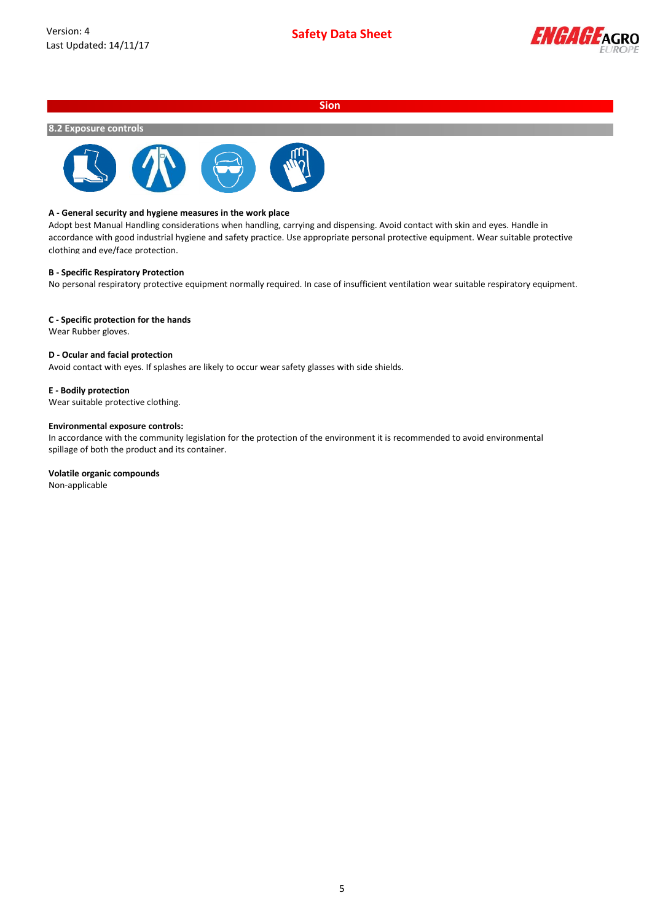

### **8.2 Exposure controls**



### **A - General security and hygiene measures in the work place**

Adopt best Manual Handling considerations when handling, carrying and dispensing. Avoid contact with skin and eyes. Handle in accordance with good industrial hygiene and safety practice. Use appropriate personal protective equipment. Wear suitable protective clothing and eye/face protection.

### **B - Specific Respiratory Protection**

No personal respiratory protective equipment normally required. In case of insufficient ventilation wear suitable respiratory equipment.

#### **C - Specific protection for the hands**

Wear Rubber gloves.

### **D - Ocular and facial protection**

Avoid contact with eyes. If splashes are likely to occur wear safety glasses with side shields.

#### **E - Bodily protection**

Wear suitable protective clothing.

#### **Environmental exposure controls:**

In accordance with the community legislation for the protection of the environment it is recommended to avoid environmental spillage of both the product and its container.

### **Volatile organic compounds**

Non-applicable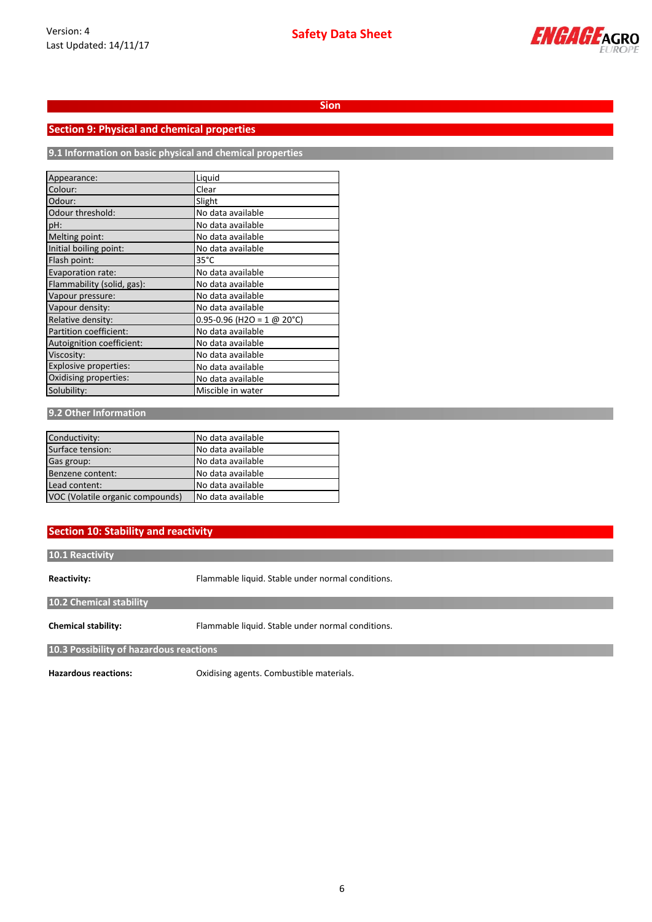

# **Section 9: Physical and chemical properties**

**9.1 Information on basic physical and chemical properties**

| Appearance:                | Liquid                         |
|----------------------------|--------------------------------|
| Colour:                    | Clear                          |
| Odour:                     | Slight                         |
| Odour threshold:           | No data available              |
| pH:                        | No data available              |
| Melting point:             | No data available              |
| Initial boiling point:     | No data available              |
| Flash point:               | $35^{\circ}$ C                 |
| Evaporation rate:          | No data available              |
| Flammability (solid, gas): | No data available              |
| Vapour pressure:           | No data available              |
| Vapour density:            | No data available              |
| Relative density:          | $0.95 - 0.96$ (H2O = 1 @ 20°C) |
| Partition coefficient:     | No data available              |
| Autoignition coefficient:  | No data available              |
| Viscosity:                 | No data available              |
| Explosive properties:      | No data available              |
| Oxidising properties:      | No data available              |
| Solubility:                | Miscible in water              |

### **9.2 Other Information**

| Conductivity:                    | No data available |
|----------------------------------|-------------------|
| Surface tension:                 | No data available |
| Gas group:                       | No data available |
| Benzene content:                 | No data available |
| Lead content:                    | No data available |
| VOC (Volatile organic compounds) | No data available |

# **Section 10: Stability and reactivity**

### **10.1 Reactivity**

**Reactivity:**

Flammable liquid. Stable under normal conditions.

**10.2 Chemical stability**

**Chemical stability:**

Flammable liquid. Stable under normal conditions.

**10.3 Possibility of hazardous reactions**

**Hazardous reactions:**

Oxidising agents. Combustible materials.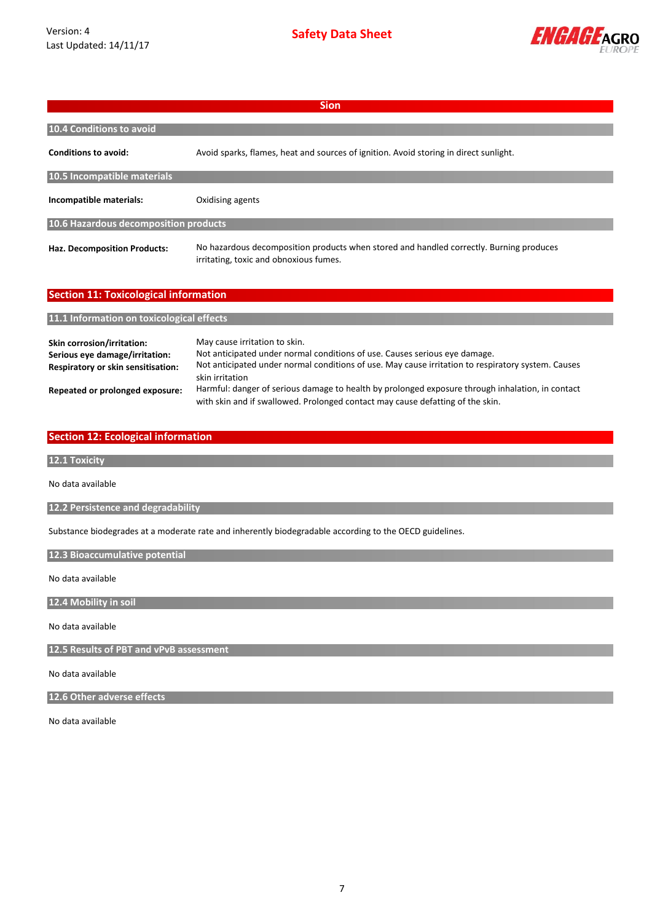

| <b>Sion</b>                                  |                                                                                                                                   |  |
|----------------------------------------------|-----------------------------------------------------------------------------------------------------------------------------------|--|
| 10.4 Conditions to avoid                     |                                                                                                                                   |  |
| <b>Conditions to avoid:</b>                  | Avoid sparks, flames, heat and sources of ignition. Avoid storing in direct sunlight.                                             |  |
| 10.5 Incompatible materials                  |                                                                                                                                   |  |
| Incompatible materials:                      | Oxidising agents                                                                                                                  |  |
| 10.6 Hazardous decomposition products        |                                                                                                                                   |  |
| Haz. Decomposition Products:                 | No hazardous decomposition products when stored and handled correctly. Burning produces<br>irritating, toxic and obnoxious fumes. |  |
| <b>Section 11: Toxicological information</b> |                                                                                                                                   |  |
| 11.1 Information on toxicological effects    |                                                                                                                                   |  |

| Skin corrosion/irritation:<br>Serious eye damage/irritation:<br><b>Respiratory or skin sensitisation:</b> | May cause irritation to skin.<br>Not anticipated under normal conditions of use. Causes serious eye damage.<br>Not anticipated under normal conditions of use. May cause irritation to respiratory system. Causes<br>skin irritation |
|-----------------------------------------------------------------------------------------------------------|--------------------------------------------------------------------------------------------------------------------------------------------------------------------------------------------------------------------------------------|
| Repeated or prolonged exposure:                                                                           | Harmful: danger of serious damage to health by prolonged exposure through inhalation, in contact<br>with skin and if swallowed. Prolonged contact may cause defatting of the skin.                                                   |

# **Section 12: Ecological information**

**12.1 Toxicity**

No data available

**12.2 Persistence and degradability**

Substance biodegrades at a moderate rate and inherently biodegradable according to the OECD guidelines.

**12.3 Bioaccumulative potential**

No data available

**12.4 Mobility in soil**

No data available

**12.5 Results of PBT and vPvB assessment**

No data available

**12.6 Other adverse effects**

No data available

7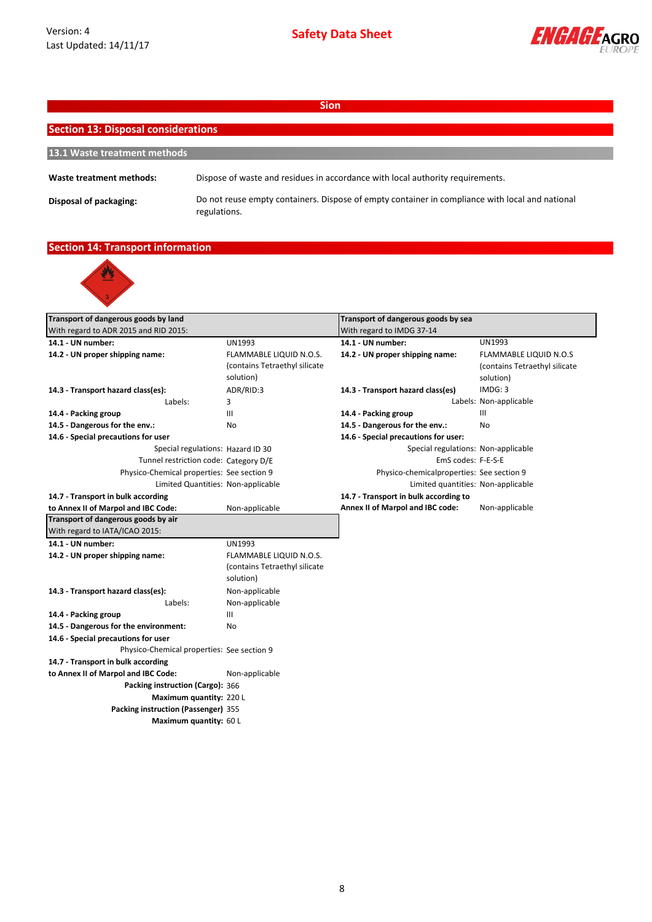

| <b>Sion</b>                                |                                                                                                                 |  |  |  |
|--------------------------------------------|-----------------------------------------------------------------------------------------------------------------|--|--|--|
| <b>Section 13: Disposal considerations</b> |                                                                                                                 |  |  |  |
|                                            |                                                                                                                 |  |  |  |
| 13.1 Waste treatment methods               |                                                                                                                 |  |  |  |
| Waste treatment methods:                   | Dispose of waste and residues in accordance with local authority requirements.                                  |  |  |  |
| Disposal of packaging:                     | Do not reuse empty containers. Dispose of empty container in compliance with local and national<br>regulations. |  |  |  |

# **Section 14: Transport information**



| Transport of dangerous goods by land       |                               | Transport of dangerous goods by sea       |                               |
|--------------------------------------------|-------------------------------|-------------------------------------------|-------------------------------|
| With regard to ADR 2015 and RID 2015:      |                               | With regard to IMDG 37-14                 |                               |
| 14.1 - UN number:                          | <b>UN1993</b>                 | 14.1 - UN number:                         | <b>UN1993</b>                 |
| 14.2 - UN proper shipping name:            | FLAMMABLE LIQUID N.O.S.       | 14.2 - UN proper shipping name:           | <b>FLAMMABLE LIQUID N.O.S</b> |
|                                            | (contains Tetraethyl silicate |                                           | (contains Tetraethyl silicate |
|                                            | solution)                     |                                           | solution)                     |
| 14.3 - Transport hazard class(es):         | ADR/RID:3                     | 14.3 - Transport hazard class(es)         | IMDG: 3                       |
| Labels:                                    | 3                             |                                           | Labels: Non-applicable        |
| 14.4 - Packing group                       | III                           | 14.4 - Packing group                      | III                           |
| 14.5 - Dangerous for the env.:             | No                            | 14.5 - Dangerous for the env.:            | No                            |
| 14.6 - Special precautions for user        |                               | 14.6 - Special precautions for user:      |                               |
| Special regulations: Hazard ID 30          |                               | Special regulations: Non-applicable       |                               |
| Tunnel restriction code: Category D/E      |                               | EmS codes: F-E-S-E                        |                               |
| Physico-Chemical properties: See section 9 |                               | Physico-chemicalproperties: See section 9 |                               |
| Limited Quantities: Non-applicable         |                               | Limited quantities: Non-applicable        |                               |
| 14.7 - Transport in bulk according         |                               | 14.7 - Transport in bulk according to     |                               |
| to Annex II of Marpol and IBC Code:        | Non-applicable                | Annex II of Marpol and IBC code:          | Non-applicable                |
| Transport of dangerous goods by air        |                               |                                           |                               |
| With regard to IATA/ICAO 2015:             |                               |                                           |                               |
| 14.1 - UN number:                          | UN1993                        |                                           |                               |
| 14.2 - UN proper shipping name:            | FLAMMABLE LIQUID N.O.S.       |                                           |                               |
|                                            | (contains Tetraethyl silicate |                                           |                               |
|                                            | solution)                     |                                           |                               |
| 14.3 - Transport hazard class(es):         | Non-applicable                |                                           |                               |
| Labels:                                    | Non-applicable                |                                           |                               |
| 14.4 - Packing group                       | Ш                             |                                           |                               |
| 14.5 - Dangerous for the environment:      | No                            |                                           |                               |
| 14.6 - Special precautions for user        |                               |                                           |                               |
| Physico-Chemical properties: See section 9 |                               |                                           |                               |
| 14.7 - Transport in bulk according         |                               |                                           |                               |
| to Annex II of Marpol and IBC Code:        | Non-applicable                |                                           |                               |
| Packing instruction (Cargo): 366           |                               |                                           |                               |
| Maximum quantity: 220 L                    |                               |                                           |                               |
| Packing instruction (Passenger) 355        |                               |                                           |                               |
| Maximum quantity: 60 L                     |                               |                                           |                               |
|                                            |                               |                                           |                               |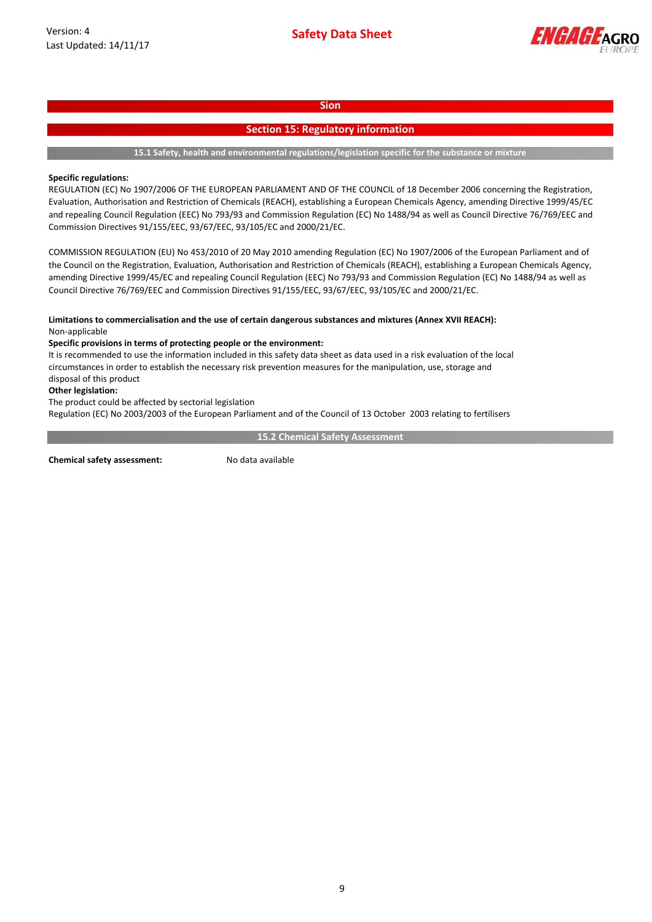

## **Section 15: Regulatory information**

**15.1 Safety, health and environmental regulations/legislation specific for the substance or mixture**

### **Specific regulations:**

REGULATION (EC) No 1907/2006 OF THE EUROPEAN PARLIAMENT AND OF THE COUNCIL of 18 December 2006 concerning the Registration, Evaluation, Authorisation and Restriction of Chemicals (REACH), establishing a European Chemicals Agency, amending Directive 1999/45/EC and repealing Council Regulation (EEC) No 793/93 and Commission Regulation (EC) No 1488/94 as well as Council Directive 76/769/EEC and Commission Directives 91/155/EEC, 93/67/EEC, 93/105/EC and 2000/21/EC.

COMMISSION REGULATION (EU) No 453/2010 of 20 May 2010 amending Regulation (EC) No 1907/2006 of the European Parliament and of the Council on the Registration, Evaluation, Authorisation and Restriction of Chemicals (REACH), establishing a European Chemicals Agency, amending Directive 1999/45/EC and repealing Council Regulation (EEC) No 793/93 and Commission Regulation (EC) No 1488/94 as well as Council Directive 76/769/EEC and Commission Directives 91/155/EEC, 93/67/EEC, 93/105/EC and 2000/21/EC.

### **Limitations to commercialisation and the use of certain dangerous substances and mixtures (Annex XVII REACH):** Non-applicable

### **Specific provisions in terms of protecting people or the environment:**

It is recommended to use the information included in this safety data sheet as data used in a risk evaluation of the local circumstances in order to establish the necessary risk prevention measures for the manipulation, use, storage and disposal of this product

### **Other legislation:**

The product could be affected by sectorial legislation

Regulation (EC) No 2003/2003 of the European Parliament and of the Council of 13 October 2003 relating to fertilisers

**15.2 Chemical Safety Assessment**

**Chemical safety assessment:** No data available